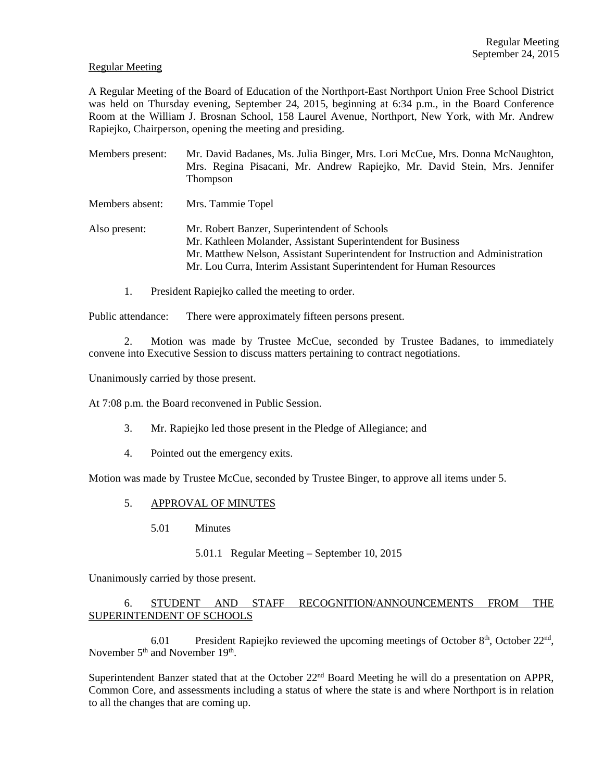#### Regular Meeting

A Regular Meeting of the Board of Education of the Northport-East Northport Union Free School District was held on Thursday evening, September 24, 2015, beginning at 6:34 p.m., in the Board Conference Room at the William J. Brosnan School, 158 Laurel Avenue, Northport, New York, with Mr. Andrew Rapiejko, Chairperson, opening the meeting and presiding.

| Members present: | Mr. David Badanes, Ms. Julia Binger, Mrs. Lori McCue, Mrs. Donna McNaughton,<br>Mrs. Regina Pisacani, Mr. Andrew Rapiejko, Mr. David Stein, Mrs. Jennifer<br>Thompson                                                                                                  |
|------------------|------------------------------------------------------------------------------------------------------------------------------------------------------------------------------------------------------------------------------------------------------------------------|
| Members absent:  | Mrs. Tammie Topel                                                                                                                                                                                                                                                      |
| Also present:    | Mr. Robert Banzer, Superintendent of Schools<br>Mr. Kathleen Molander, Assistant Superintendent for Business<br>Mr. Matthew Nelson, Assistant Superintendent for Instruction and Administration<br>Mr. Lou Curra, Interim Assistant Superintendent for Human Resources |

1. President Rapiejko called the meeting to order.

Public attendance: There were approximately fifteen persons present.

2. Motion was made by Trustee McCue, seconded by Trustee Badanes, to immediately convene into Executive Session to discuss matters pertaining to contract negotiations.

Unanimously carried by those present.

At 7:08 p.m. the Board reconvened in Public Session.

- 3. Mr. Rapiejko led those present in the Pledge of Allegiance; and
- 4. Pointed out the emergency exits.

Motion was made by Trustee McCue, seconded by Trustee Binger, to approve all items under 5.

#### 5. APPROVAL OF MINUTES

5.01 Minutes

#### 5.01.1 Regular Meeting – September 10, 2015

Unanimously carried by those present.

# 6. STUDENT AND STAFF RECOGNITION/ANNOUNCEMENTS FROM THE SUPERINTENDENT OF SCHOOLS

6.01 President Rapiejko reviewed the upcoming meetings of October  $8<sup>th</sup>$ , October  $22<sup>nd</sup>$ , November 5<sup>th</sup> and November 19<sup>th</sup>.

Superintendent Banzer stated that at the October 22<sup>nd</sup> Board Meeting he will do a presentation on APPR, Common Core, and assessments including a status of where the state is and where Northport is in relation to all the changes that are coming up.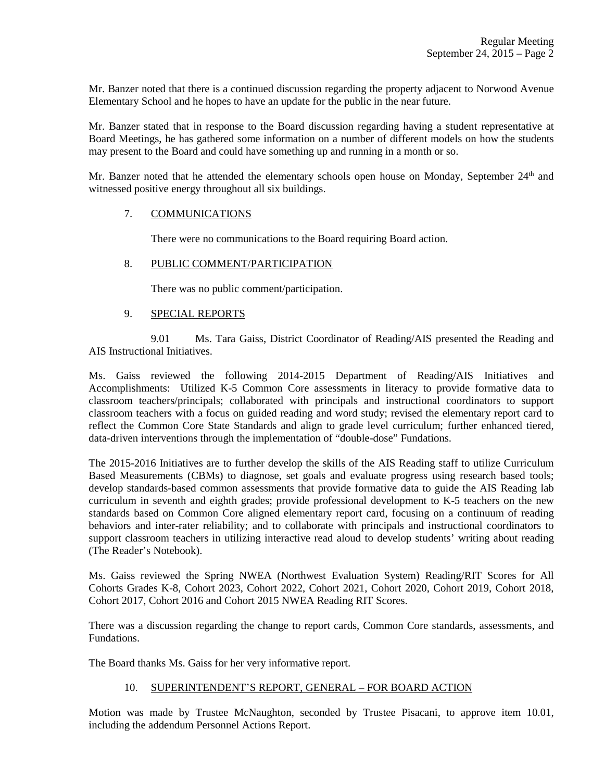Mr. Banzer noted that there is a continued discussion regarding the property adjacent to Norwood Avenue Elementary School and he hopes to have an update for the public in the near future.

Mr. Banzer stated that in response to the Board discussion regarding having a student representative at Board Meetings, he has gathered some information on a number of different models on how the students may present to the Board and could have something up and running in a month or so.

Mr. Banzer noted that he attended the elementary schools open house on Monday, September  $24<sup>th</sup>$  and witnessed positive energy throughout all six buildings.

## 7. COMMUNICATIONS

There were no communications to the Board requiring Board action.

# 8. PUBLIC COMMENT/PARTICIPATION

There was no public comment/participation.

## 9. SPECIAL REPORTS

 9.01 Ms. Tara Gaiss, District Coordinator of Reading/AIS presented the Reading and AIS Instructional Initiatives.

Ms. Gaiss reviewed the following 2014-2015 Department of Reading/AIS Initiatives and Accomplishments: Utilized K-5 Common Core assessments in literacy to provide formative data to classroom teachers/principals; collaborated with principals and instructional coordinators to support classroom teachers with a focus on guided reading and word study; revised the elementary report card to reflect the Common Core State Standards and align to grade level curriculum; further enhanced tiered, data-driven interventions through the implementation of "double-dose" Fundations.

The 2015-2016 Initiatives are to further develop the skills of the AIS Reading staff to utilize Curriculum Based Measurements (CBMs) to diagnose, set goals and evaluate progress using research based tools; develop standards-based common assessments that provide formative data to guide the AIS Reading lab curriculum in seventh and eighth grades; provide professional development to K-5 teachers on the new standards based on Common Core aligned elementary report card, focusing on a continuum of reading behaviors and inter-rater reliability; and to collaborate with principals and instructional coordinators to support classroom teachers in utilizing interactive read aloud to develop students' writing about reading (The Reader's Notebook).

Ms. Gaiss reviewed the Spring NWEA (Northwest Evaluation System) Reading/RIT Scores for All Cohorts Grades K-8, Cohort 2023, Cohort 2022, Cohort 2021, Cohort 2020, Cohort 2019, Cohort 2018, Cohort 2017, Cohort 2016 and Cohort 2015 NWEA Reading RIT Scores.

There was a discussion regarding the change to report cards, Common Core standards, assessments, and Fundations.

The Board thanks Ms. Gaiss for her very informative report.

## 10. SUPERINTENDENT'S REPORT, GENERAL – FOR BOARD ACTION

Motion was made by Trustee McNaughton, seconded by Trustee Pisacani, to approve item 10.01, including the addendum Personnel Actions Report.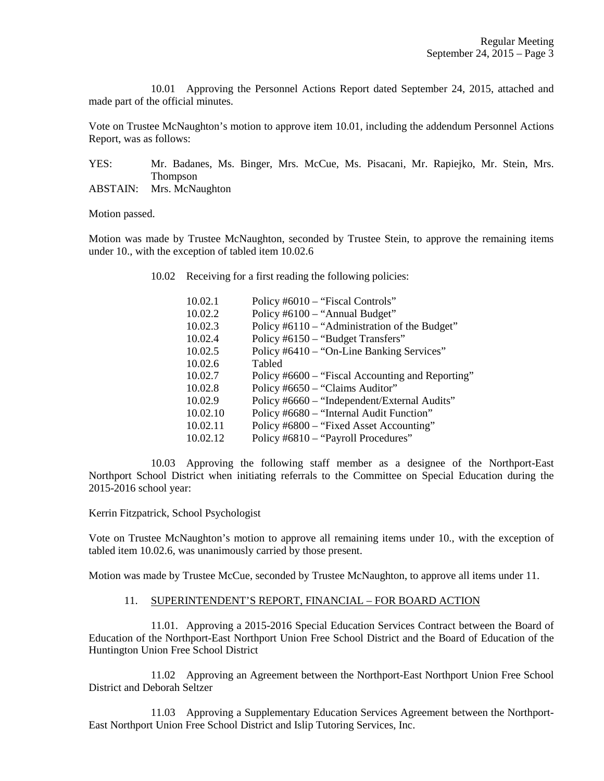10.01 Approving the Personnel Actions Report dated September 24, 2015, attached and made part of the official minutes.

Vote on Trustee McNaughton's motion to approve item 10.01, including the addendum Personnel Actions Report, was as follows:

YES: Mr. Badanes, Ms. Binger, Mrs. McCue, Ms. Pisacani, Mr. Rapiejko, Mr. Stein, Mrs. Thompson

ABSTAIN: Mrs. McNaughton

Motion passed.

Motion was made by Trustee McNaughton, seconded by Trustee Stein, to approve the remaining items under 10., with the exception of tabled item 10.02.6

10.02 Receiving for a first reading the following policies:

| 10.02.1  | Policy #6010 – "Fiscal Controls"                 |
|----------|--------------------------------------------------|
| 10.02.2  | Policy #6100 – "Annual Budget"                   |
| 10.02.3  | Policy #6110 – "Administration of the Budget"    |
| 10.02.4  | Policy #6150 – "Budget Transfers"                |
| 10.02.5  | Policy #6410 – "On-Line Banking Services"        |
| 10.02.6  | Tabled                                           |
| 10.02.7  | Policy #6600 – "Fiscal Accounting and Reporting" |
| 10.02.8  | Policy #6650 – "Claims Auditor"                  |
| 10.02.9  | Policy #6660 – "Independent/External Audits"     |
| 10.02.10 | Policy #6680 – "Internal Audit Function"         |
| 10.02.11 | Policy #6800 – "Fixed Asset Accounting"          |
| 10.02.12 | Policy #6810 – "Payroll Procedures"              |

 10.03 Approving the following staff member as a designee of the Northport-East Northport School District when initiating referrals to the Committee on Special Education during the 2015-2016 school year:

Kerrin Fitzpatrick, School Psychologist

Vote on Trustee McNaughton's motion to approve all remaining items under 10., with the exception of tabled item 10.02.6, was unanimously carried by those present.

Motion was made by Trustee McCue, seconded by Trustee McNaughton, to approve all items under 11.

#### 11. SUPERINTENDENT'S REPORT, FINANCIAL – FOR BOARD ACTION

 11.01. Approving a 2015-2016 Special Education Services Contract between the Board of Education of the Northport-East Northport Union Free School District and the Board of Education of the Huntington Union Free School District

 11.02 Approving an Agreement between the Northport-East Northport Union Free School District and Deborah Seltzer

 11.03 Approving a Supplementary Education Services Agreement between the Northport-East Northport Union Free School District and Islip Tutoring Services, Inc.